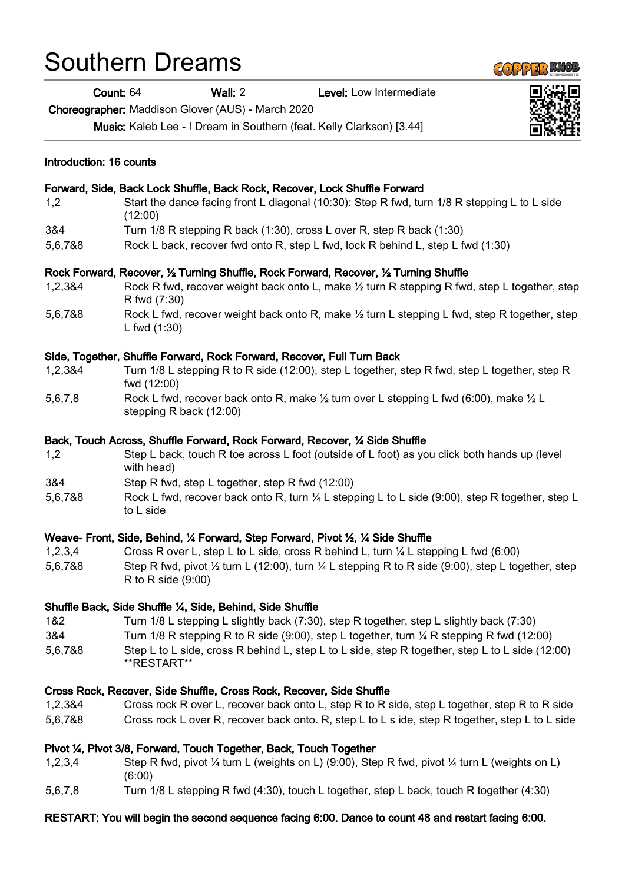## Southern Dreams

Count: 64 Wall: 2 Level: Low Intermediate

Choreographer: Maddison Glover (AUS) - March 2020

Music: Kaleb Lee - I Dream in Southern (feat. Kelly Clarkson) [3.44]

| Introduction: 16 counts<br>Forward, Side, Back Lock Shuffle, Back Rock, Recover, Lock Shuffle Forward |                                                                                                                                               |
|-------------------------------------------------------------------------------------------------------|-----------------------------------------------------------------------------------------------------------------------------------------------|
|                                                                                                       |                                                                                                                                               |
| 3&4                                                                                                   | Turn 1/8 R stepping R back (1:30), cross L over R, step R back (1:30)                                                                         |
| 5,6,7&8                                                                                               | Rock L back, recover fwd onto R, step L fwd, lock R behind L, step L fwd (1:30)                                                               |
|                                                                                                       | Rock Forward, Recover, 1/2 Turning Shuffle, Rock Forward, Recover, 1/2 Turning Shuffle                                                        |
| 1,2,3&4                                                                                               | Rock R fwd, recover weight back onto L, make $\frac{1}{2}$ turn R stepping R fwd, step L together, step<br>R fwd (7:30)                       |
| 5,6,7&8                                                                                               | Rock L fwd, recover weight back onto R, make $\frac{1}{2}$ turn L stepping L fwd, step R together, step<br>L fwd $(1:30)$                     |
|                                                                                                       | Side, Together, Shuffle Forward, Rock Forward, Recover, Full Turn Back                                                                        |
| 1,2,3&4                                                                                               | Turn 1/8 L stepping R to R side (12:00), step L together, step R fwd, step L together, step R<br>fwd (12:00)                                  |
| 5,6,7,8                                                                                               | Rock L fwd, recover back onto R, make $\frac{1}{2}$ turn over L stepping L fwd (6:00), make $\frac{1}{2}$ L<br>stepping R back (12:00)        |
|                                                                                                       | Back, Touch Across, Shuffle Forward, Rock Forward, Recover, 1⁄4 Side Shuffle                                                                  |
| 1,2                                                                                                   | Step L back, touch R toe across L foot (outside of L foot) as you click both hands up (level<br>with head)                                    |
| 3&4                                                                                                   | Step R fwd, step L together, step R fwd (12:00)                                                                                               |
| 5,6,7&8                                                                                               | Rock L fwd, recover back onto R, turn 1/4 L stepping L to L side (9:00), step R together, step L<br>to L side                                 |
|                                                                                                       | Weave- Front, Side, Behind, 1⁄4 Forward, Step Forward, Pivot 1⁄2, 1⁄4 Side Shuffle                                                            |
| 1,2,3,4                                                                                               | Cross R over L, step L to L side, cross R behind L, turn $\frac{1}{4}$ L stepping L fwd (6:00)                                                |
| 5,6,7&8                                                                                               | Step R fwd, pivot $\frac{1}{2}$ turn L (12:00), turn $\frac{1}{4}$ L stepping R to R side (9:00), step L together, step<br>R to R side (9:00) |
|                                                                                                       | Shuffle Back, Side Shuffle 1/4, Side, Behind, Side Shuffle                                                                                    |
| 1&2                                                                                                   | Turn 1/8 L stepping L slightly back (7:30), step R together, step L slightly back (7:30)                                                      |
| 3&4                                                                                                   | Turn 1/8 R stepping R to R side (9:00), step L together, turn $\frac{1}{4}$ R stepping R fwd (12:00)                                          |
| 5,6,7&8                                                                                               | Step L to L side, cross R behind L, step L to L side, step R together, step L to L side (12:00)<br>**RESTART**                                |
|                                                                                                       | Cross Rock, Recover, Side Shuffle, Cross Rock, Recover, Side Shuffle                                                                          |
| 1,2,3&4                                                                                               | Cross rock R over L, recover back onto L, step R to R side, step L together, step R to R side                                                 |
| 5,6,7&8                                                                                               | Cross rock L over R, recover back onto. R, step L to L s ide, step R together, step L to L side                                               |
|                                                                                                       | Pivot ¼, Pivot 3/8, Forward, Touch Together, Back, Touch Together                                                                             |
| 1,2,3,4                                                                                               | Step R fwd, pivot $\frac{1}{4}$ turn L (weights on L) (9:00), Step R fwd, pivot $\frac{1}{4}$ turn L (weights on L)<br>(6:00)                 |
| 5,6,7,8                                                                                               | Turn 1/8 L stepping R fwd (4:30), touch L together, step L back, touch R together (4:30)                                                      |

## RESTART: You will begin the second sequence facing 6:00. Dance to count 48 and restart facing 6:00.